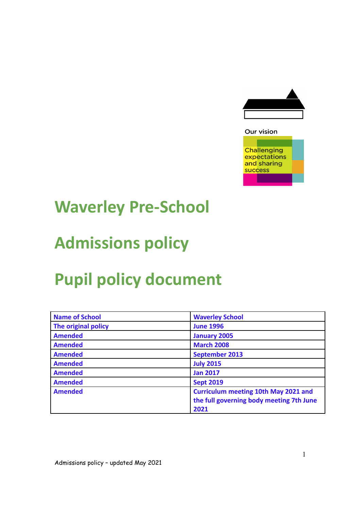

### **Challenging** expectations and sharing success

Our vision

### **Waverley Pre-School**

# **Admissions policy**

# **Pupil policy document**

| <b>Name of School</b> | <b>Waverley School</b>                      |
|-----------------------|---------------------------------------------|
| The original policy   | <b>June 1996</b>                            |
| <b>Amended</b>        | <b>January 2005</b>                         |
| <b>Amended</b>        | <b>March 2008</b>                           |
| <b>Amended</b>        | September 2013                              |
| <b>Amended</b>        | <b>July 2015</b>                            |
| <b>Amended</b>        | <b>Jan 2017</b>                             |
| <b>Amended</b>        | <b>Sept 2019</b>                            |
| <b>Amended</b>        | <b>Curriculum meeting 10th May 2021 and</b> |
|                       | the full governing body meeting 7th June    |
|                       | 2021                                        |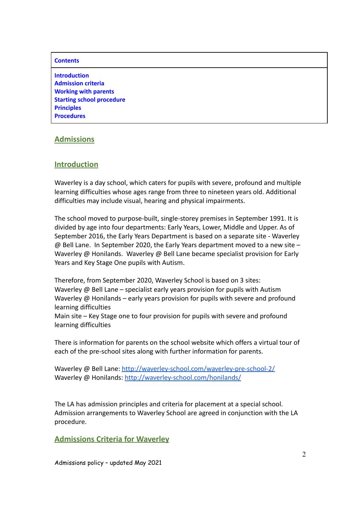#### **Contents**

**Introduction Admission criteria Working with parents Starting school procedure Principles Procedures**

#### **Admissions**

#### **Introduction**

Waverley is a day school, which caters for pupils with severe, profound and multiple learning difficulties whose ages range from three to nineteen years old. Additional difficulties may include visual, hearing and physical impairments.

The school moved to purpose-built, single-storey premises in September 1991. It is divided by age into four departments: Early Years, Lower, Middle and Upper. As of September 2016, the Early Years Department is based on a separate site - Waverley @ Bell Lane. In September 2020, the Early Years department moved to a new site – Waverley @ Honilands. Waverley @ Bell Lane became specialist provision for Early Years and Key Stage One pupils with Autism.

Therefore, from September 2020, Waverley School is based on 3 sites: Waverley @ Bell Lane – specialist early years provision for pupils with Autism Waverley @ Honilands – early years provision for pupils with severe and profound learning difficulties

Main site – Key Stage one to four provision for pupils with severe and profound learning difficulties

There is information for parents on the school website which offers a virtual tour of each of the pre-school sites along with further information for parents.

Waverley @ Bell Lane: <http://waverley-school.com/waverley-pre-school-2/> Waverley @ Honilands: <http://waverley-school.com/honilands/>

The LA has admission principles and criteria for placement at a special school. Admission arrangements to Waverley School are agreed in conjunction with the LA procedure.

**Admissions Criteria for Waverley**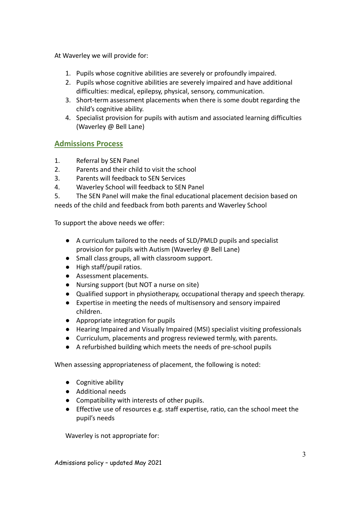At Waverley we will provide for:

- 1. Pupils whose cognitive abilities are severely or profoundly impaired.
- 2. Pupils whose cognitive abilities are severely impaired and have additional difficulties: medical, epilepsy, physical, sensory, communication.
- 3. Short-term assessment placements when there is some doubt regarding the child's cognitive ability.
- 4. Specialist provision for pupils with autism and associated learning difficulties (Waverley @ Bell Lane)

### **Admissions Process**

- 1. Referral by SEN Panel
- 2. Parents and their child to visit the school
- 3. Parents will feedback to SEN Services
- 4. Waverley School will feedback to SEN Panel
- 5. The SEN Panel will make the final educational placement decision based on

needs of the child and feedback from both parents and Waverley School

To support the above needs we offer:

- A curriculum tailored to the needs of SLD/PMLD pupils and specialist provision for pupils with Autism (Waverley @ Bell Lane)
- Small class groups, all with classroom support.
- High staff/pupil ratios.
- Assessment placements.
- Nursing support (but NOT a nurse on site)
- Qualified support in physiotherapy, occupational therapy and speech therapy.
- Expertise in meeting the needs of multisensory and sensory impaired children.
- Appropriate integration for pupils
- Hearing Impaired and Visually Impaired (MSI) specialist visiting professionals
- Curriculum, placements and progress reviewed termly, with parents.
- A refurbished building which meets the needs of pre-school pupils

When assessing appropriateness of placement, the following is noted:

- Cognitive ability
- Additional needs
- Compatibility with interests of other pupils.
- Effective use of resources e.g. staff expertise, ratio, can the school meet the pupil's needs

Waverley is not appropriate for: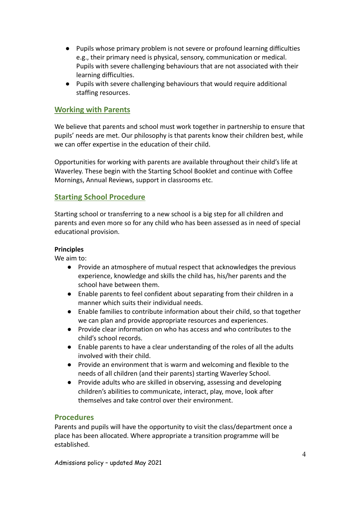- Pupils whose primary problem is not severe or profound learning difficulties e.g., their primary need is physical, sensory, communication or medical. Pupils with severe challenging behaviours that are not associated with their learning difficulties.
- Pupils with severe challenging behaviours that would require additional staffing resources.

#### **Working with Parents**

We believe that parents and school must work together in partnership to ensure that pupils' needs are met. Our philosophy is that parents know their children best, while we can offer expertise in the education of their child.

Opportunities for working with parents are available throughout their child's life at Waverley. These begin with the Starting School Booklet and continue with Coffee Mornings, Annual Reviews, support in classrooms etc.

#### **Starting School Procedure**

Starting school or transferring to a new school is a big step for all children and parents and even more so for any child who has been assessed as in need of special educational provision.

#### **Principles**

We aim to:

- Provide an atmosphere of mutual respect that acknowledges the previous experience, knowledge and skills the child has, his/her parents and the school have between them.
- Enable parents to feel confident about separating from their children in a manner which suits their individual needs.
- Enable families to contribute information about their child, so that together we can plan and provide appropriate resources and experiences.
- Provide clear information on who has access and who contributes to the child's school records.
- Enable parents to have a clear understanding of the roles of all the adults involved with their child.
- Provide an environment that is warm and welcoming and flexible to the needs of all children (and their parents) starting Waverley School.
- Provide adults who are skilled in observing, assessing and developing children's abilities to communicate, interact, play, move, look after themselves and take control over their environment.

#### **Procedures**

Parents and pupils will have the opportunity to visit the class/department once a place has been allocated. Where appropriate a transition programme will be established.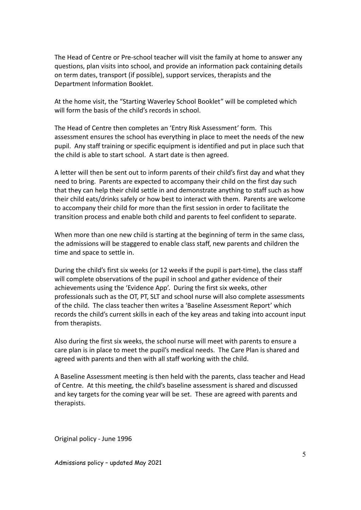The Head of Centre or Pre-school teacher will visit the family at home to answer any questions, plan visits into school, and provide an information pack containing details on term dates, transport (if possible), support services, therapists and the Department Information Booklet.

At the home visit, the "Starting Waverley School Booklet" will be completed which will form the basis of the child's records in school

The Head of Centre then completes an 'Entry Risk Assessment' form. This assessment ensures the school has everything in place to meet the needs of the new pupil. Any staff training or specific equipment is identified and put in place such that the child is able to start school. A start date is then agreed.

A letter will then be sent out to inform parents of their child's first day and what they need to bring. Parents are expected to accompany their child on the first day such that they can help their child settle in and demonstrate anything to staff such as how their child eats/drinks safely or how best to interact with them. Parents are welcome to accompany their child for more than the first session in order to facilitate the transition process and enable both child and parents to feel confident to separate.

When more than one new child is starting at the beginning of term in the same class, the admissions will be staggered to enable class staff, new parents and children the time and space to settle in.

During the child's first six weeks (or 12 weeks if the pupil is part-time), the class staff will complete observations of the pupil in school and gather evidence of their achievements using the 'Evidence App'. During the first six weeks, other professionals such as the OT, PT, SLT and school nurse will also complete assessments of the child. The class teacher then writes a 'Baseline Assessment Report' which records the child's current skills in each of the key areas and taking into account input from therapists.

Also during the first six weeks, the school nurse will meet with parents to ensure a care plan is in place to meet the pupil's medical needs. The Care Plan is shared and agreed with parents and then with all staff working with the child.

A Baseline Assessment meeting is then held with the parents, class teacher and Head of Centre. At this meeting, the child's baseline assessment is shared and discussed and key targets for the coming year will be set. These are agreed with parents and therapists.

Original policy - June 1996